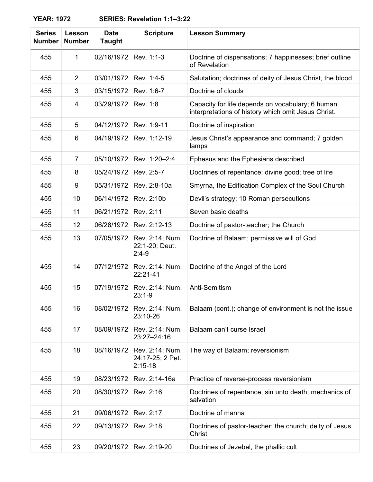## **YEAR: 1972 SERIES: Revelation 1:1–3:22**

| <b>Series</b><br><b>Number</b> | Lesson<br><b>Number</b> | <b>Date</b><br><b>Taught</b> | <b>Scripture</b>                                 | <b>Lesson Summary</b>                                                                                   |
|--------------------------------|-------------------------|------------------------------|--------------------------------------------------|---------------------------------------------------------------------------------------------------------|
| 455                            | $\mathbf{1}$            | 02/16/1972                   | Rev. 1:1-3                                       | Doctrine of dispensations; 7 happinesses; brief outline<br>of Revelation                                |
| 455                            | $\overline{2}$          | 03/01/1972                   | Rev. 1:4-5                                       | Salutation; doctrines of deity of Jesus Christ, the blood                                               |
| 455                            | 3                       | 03/15/1972                   | Rev. 1:6-7                                       | Doctrine of clouds                                                                                      |
| 455                            | $\overline{4}$          | 03/29/1972                   | Rev. 1:8                                         | Capacity for life depends on vocabulary; 6 human<br>interpretations of history which omit Jesus Christ. |
| 455                            | 5                       | 04/12/1972                   | Rev. 1:9-11                                      | Doctrine of inspiration                                                                                 |
| 455                            | 6                       | 04/19/1972                   | Rev. 1:12-19                                     | Jesus Christ's appearance and command; 7 golden<br>lamps                                                |
| 455                            | $\overline{7}$          | 05/10/1972                   | Rev. 1:20-2:4                                    | Ephesus and the Ephesians described                                                                     |
| 455                            | 8                       | 05/24/1972                   | Rev. 2:5-7                                       | Doctrines of repentance; divine good; tree of life                                                      |
| 455                            | 9                       | 05/31/1972                   | Rev. 2:8-10a                                     | Smyrna, the Edification Complex of the Soul Church                                                      |
| 455                            | 10                      | 06/14/1972                   | Rev. 2:10b                                       | Devil's strategy; 10 Roman persecutions                                                                 |
| 455                            | 11                      | 06/21/1972                   | Rev. 2:11                                        | Seven basic deaths                                                                                      |
| 455                            | 12                      | 06/28/1972                   | Rev. 2:12-13                                     | Doctrine of pastor-teacher; the Church                                                                  |
| 455                            | 13                      | 07/05/1972                   | Rev. 2:14; Num.<br>22:1-20; Deut.<br>$2:4-9$     | Doctrine of Balaam; permissive will of God                                                              |
| 455                            | 14                      | 07/12/1972                   | Rev. 2:14; Num.<br>22:21-41                      | Doctrine of the Angel of the Lord                                                                       |
| 455                            | 15                      | 07/19/1972                   | Rev. 2:14; Num.<br>$23:1-9$                      | Anti-Semitism                                                                                           |
| 455                            | 16                      | 08/02/1972                   | Rev. 2:14; Num.<br>23:10-26                      | Balaam (cont.); change of environment is not the issue                                                  |
| 455                            | 17                      | 08/09/1972                   | Rev. 2:14; Num.<br>23:27-24:16                   | Balaam can't curse Israel                                                                               |
| 455                            | 18                      | 08/16/1972                   | Rev. 2:14; Num.<br>24:17-25; 2 Pet.<br>$2:15-18$ | The way of Balaam; reversionism                                                                         |
| 455                            | 19                      | 08/23/1972                   | Rev. 2:14-16a                                    | Practice of reverse-process reversionism                                                                |
| 455                            | 20                      | 08/30/1972                   | Rev. 2:16                                        | Doctrines of repentance, sin unto death; mechanics of<br>salvation                                      |
| 455                            | 21                      | 09/06/1972                   | Rev. 2:17                                        | Doctrine of manna                                                                                       |
| 455                            | 22                      | 09/13/1972                   | Rev. 2:18                                        | Doctrines of pastor-teacher; the church; deity of Jesus<br>Christ                                       |
| 455                            | 23                      | 09/20/1972                   | Rev. 2:19-20                                     | Doctrines of Jezebel, the phallic cult                                                                  |